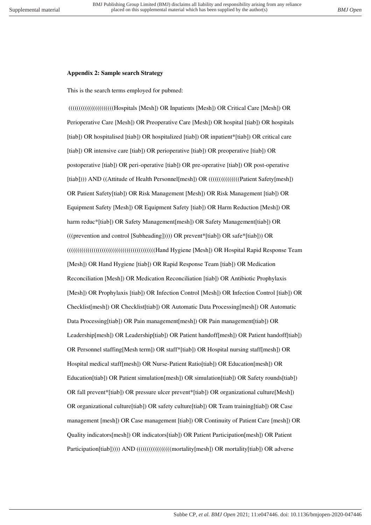## **Appendix 2: Sample search Strategy**

This is the search terms employed for pubmed:

 ((((((((((((((((((((((Hospitals [Mesh]) OR Inpatients [Mesh]) OR Critical Care [Mesh]) OR Perioperative Care [Mesh]) OR Preoperative Care [Mesh]) OR hospital [tiab]) OR hospitals [tiab]) OR hospitalised [tiab]) OR hospitalized [tiab]) OR inpatient\*[tiab]) OR critical care [tiab]) OR intensive care [tiab]) OR perioperative [tiab]) OR preoperative [tiab]) OR postoperative [tiab]) OR peri-operative [tiab]) OR pre-operative [tiab]) OR post-operative [tiab]))) AND ((Attitude of Health Personnel[mesh]) OR (((((((((((((((((Patient Safety[mesh])) OR Patient Safety[tiab]) OR Risk Management [Mesh]) OR Risk Management [tiab]) OR Equipment Safety [Mesh]) OR Equipment Safety [tiab]) OR Harm Reduction [Mesh]) OR harm reduc\*[tiab]) OR Safety Management[mesh]) OR Safety Management[tiab]) OR  $((prevention and control [Sub heading]))$ ) OR prevent\*[tiab]) OR safe\*[tiab]) OR (((((((((((((((((((((((((((((((((((((((((((Hand Hygiene [Mesh]) OR Hospital Rapid Response Team [Mesh]) OR Hand Hygiene [tiab]) OR Rapid Response Team [tiab]) OR Medication Reconciliation [Mesh]) OR Medication Reconciliation [tiab]) OR Antibiotic Prophylaxis [Mesh]) OR Prophylaxis [tiab]) OR Infection Control [Mesh]) OR Infection Control [tiab]) OR Checklist[mesh]) OR Checklist[tiab]) OR Automatic Data Processing[mesh]) OR Automatic Data Processing[tiab]) OR Pain management[mesh]) OR Pain management[tiab]) OR Leadership[mesh]) OR Leadership[tiab]) OR Patient handoff[mesh]) OR Patient handoff[tiab]) OR Personnel staffing[Mesh term]) OR staff\*[tiab]) OR Hospital nursing staff[mesh]) OR Hospital medical staff[mesh]) OR Nurse-Patient Ratio[tiab]) OR Education[mesh]) OR Education[tiab]) OR Patient simulation[mesh]) OR simulation[tiab]) OR Safety rounds[tiab]) OR fall prevent\*[tiab]) OR pressure ulcer prevent\*[tiab]) OR organizational culture[Mesh]) OR organizational culture[tiab]) OR safety culture[tiab]) OR Team training[tiab]) OR Case management [mesh]) OR Case management [tiab]) OR Continuity of Patient Care [mesh]) OR Quality indicators[mesh]) OR indicators[tiab]) OR Patient Participation[mesh]) OR Patient Participation[tiab])))) AND (((((((((((((((((((((((mortality[mesh]) OR mortality[tiab]) OR adverse